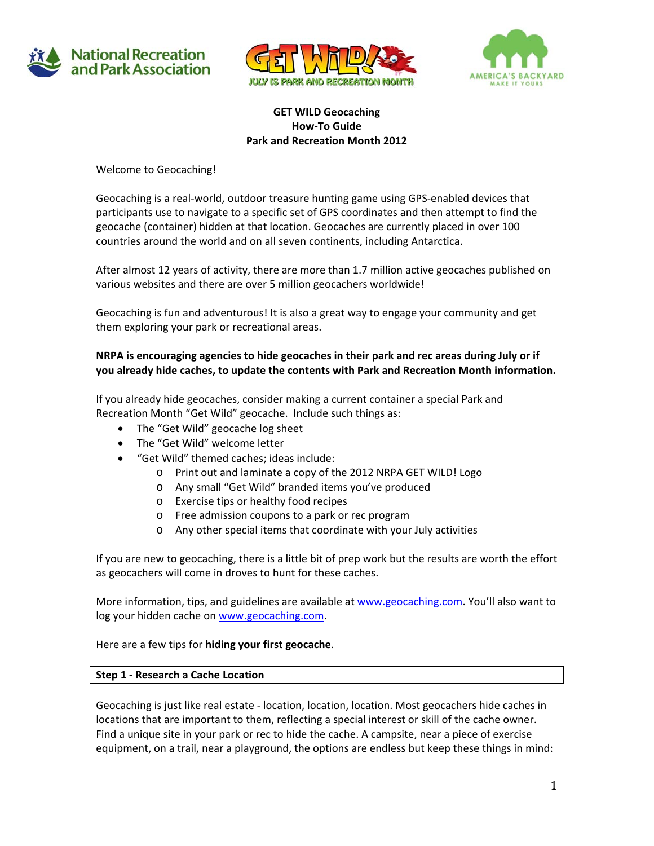





### **GET WILD Geocaching How‐To Guide Park and Recreation Month 2012**

Welcome to Geocaching!

Geocaching is a real‐world, outdoor treasure hunting game using GPS‐enabled devices that participants use to navigate to a specific set of GPS coordinates and then attempt to find the geocache (container) hidden at that location. Geocaches are currently placed in over 100 countries around the world and on all seven continents, including Antarctica.

After almost 12 years of activity, there are more than 1.7 million active geocaches published on various websites and there are over 5 million geocachers worldwide!

Geocaching is fun and adventurous! It is also a great way to engage your community and get them exploring your park or recreational areas.

# **NRPA is encouraging agencies to hide geocaches in their park and rec areas during July or if you already hide caches, to update the contents with Park and Recreation Month information.**

If you already hide geocaches, consider making a current container a special Park and Recreation Month "Get Wild" geocache. Include such things as:

- The "Get Wild" geocache log sheet
- The "Get Wild" welcome letter
- "Get Wild" themed caches; ideas include:
	- o Print out and laminate a copy of the 2012 NRPA GET WILD! Logo
	- o Any small "Get Wild" branded items you've produced
	- o Exercise tips or healthy food recipes
	- o Free admission coupons to a park or rec program
	- o Any other special items that coordinate with your July activities

If you are new to geocaching, there is a little bit of prep work but the results are worth the effort as geocachers will come in droves to hunt for these caches.

More information, tips, and guidelines are available at www.geocaching.com. You'll also want to log your hidden cache on www.geocaching.com.

Here are a few tips for **hiding your first geocache**.

#### **Step 1 ‐ Research a Cache Location**

Geocaching is just like real estate ‐ location, location, location. Most geocachers hide caches in locations that are important to them, reflecting a special interest or skill of the cache owner. Find a unique site in your park or rec to hide the cache. A campsite, near a piece of exercise equipment, on a trail, near a playground, the options are endless but keep these things in mind: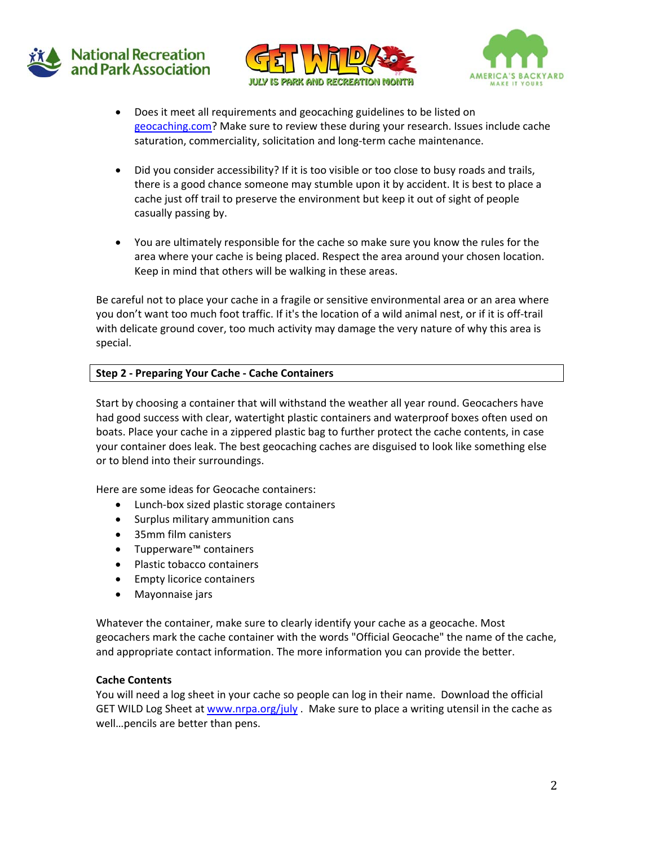





- Does it meet all requirements and geocaching guidelines to be listed on geocaching.com? Make sure to review these during your research. Issues include cache saturation, commerciality, solicitation and long-term cache maintenance.
- Did you consider accessibility? If it is too visible or too close to busy roads and trails, there is a good chance someone may stumble upon it by accident. It is best to place a cache just off trail to preserve the environment but keep it out of sight of people casually passing by.
- You are ultimately responsible for the cache so make sure you know the rules for the area where your cache is being placed. Respect the area around your chosen location. Keep in mind that others will be walking in these areas.

Be careful not to place your cache in a fragile or sensitive environmental area or an area where you don't want too much foot traffic. If it's the location of a wild animal nest, or if it is off‐trail with delicate ground cover, too much activity may damage the very nature of why this area is special.

## **Step 2 ‐ Preparing Your Cache ‐ Cache Containers**

Start by choosing a container that will withstand the weather all year round. Geocachers have had good success with clear, watertight plastic containers and waterproof boxes often used on boats. Place your cache in a zippered plastic bag to further protect the cache contents, in case your container does leak. The best geocaching caches are disguised to look like something else or to blend into their surroundings.

Here are some ideas for Geocache containers:

- Lunch-box sized plastic storage containers
- Surplus military ammunition cans
- 35mm film canisters
- Tupperware™ containers
- Plastic tobacco containers
- Empty licorice containers
- Mayonnaise jars

Whatever the container, make sure to clearly identify your cache as a geocache. Most geocachers mark the cache container with the words "Official Geocache" the name of the cache, and appropriate contact information. The more information you can provide the better.

### **Cache Contents**

You will need a log sheet in your cache so people can log in their name. Download the official GET WILD Log Sheet at www.nrpa.org/july . Make sure to place a writing utensil in the cache as well…pencils are better than pens.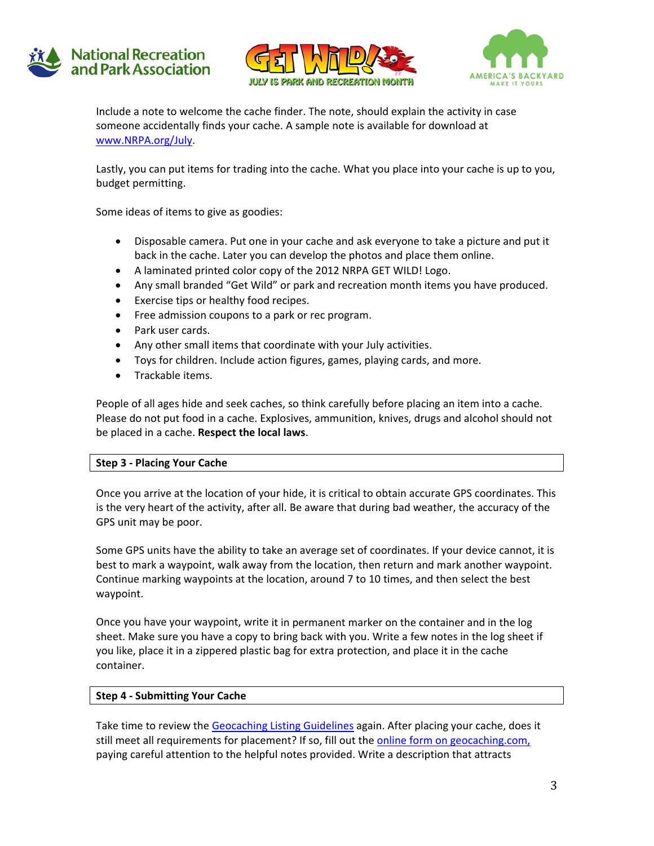





Include a note to welcome the cache finder. The note, should explain the activity in case someone accidentally finds your cache. A sample note is available for download at www.NRPA.org/July.

Lastly, you can put items for trading into the cache. What you place into your cache is up to you, budget permitting.

Some ideas of items to give as goodies:

- Disposable camera. Put one in your cache and ask everyone to take a picture and put it back in the cache. Later you can develop the photos and place them online.
- A laminated printed color copy of the 2012 NRPA GET WILD! Logo.
- Any small branded "Get Wild" or park and recreation month items you have produced.
- Exercise tips or healthy food recipes.
- **•** Free admission coupons to a park or rec program.
- Park user cards.
- Any other small items that coordinate with your July activities.
- Toys for children. Include action figures, games, playing cards, and more.
- Trackable items.

People of all ages hide and seek caches, so think carefully before placing an item into a cache. Please do not put food in a cache. Explosives, ammunition, knives, drugs and alcohol should not be placed in a cache. **Respect the local laws**.

### **Step 3 ‐ Placing Your Cache**

Once you arrive at the location of your hide, it is critical to obtain accurate GPS coordinates. This is the very heart of the activity, after all. Be aware that during bad weather, the accuracy of the GPS unit may be poor.

Some GPS units have the ability to take an average set of coordinates. If your device cannot, it is best to mark a waypoint, walk away from the location, then return and mark another waypoint. Continue marking waypoints at the location, around 7 to 10 times, and then select the best waypoint.

Once you have your waypoint, write it in permanent marker on the container and in the log sheet. Make sure you have a copy to bring back with you. Write a few notes in the log sheet if you like, place it in a zippered plastic bag for extra protection, and place it in the cache container.

### **Step 4 ‐ Submitting Your Cache**

Take time to review the Geocaching Listing Guidelines again. After placing your cache, does it still meet all requirements for placement? If so, fill out the online form on geocaching.com, paying careful attention to the helpful notes provided. Write a description that attracts